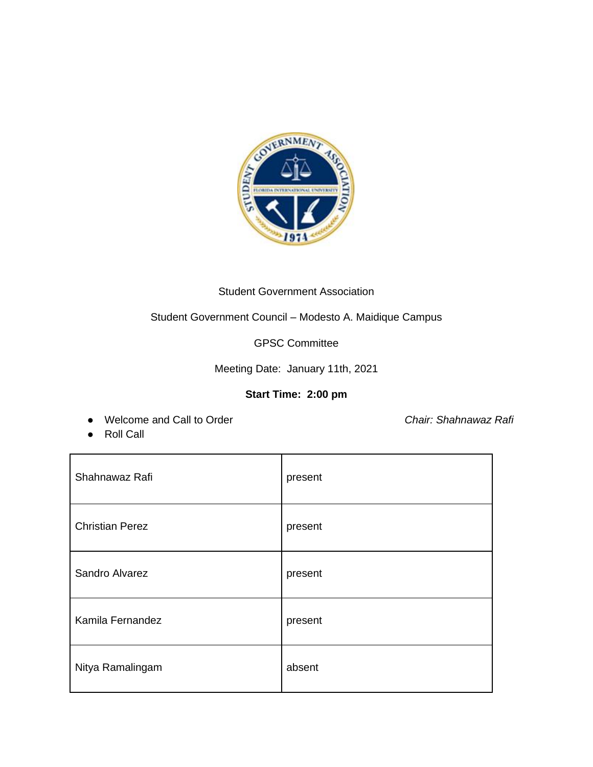

## Student Government Association

Student Government Council – Modesto A. Maidique Campus

GPSC Committee

Meeting Date: January 11th, 2021

## **Start Time: 2:00 pm**

● Welcome and Call to Order *Chair: Shahnawaz Rafi*

● Roll Call

| Shahnawaz Rafi         | present |
|------------------------|---------|
| <b>Christian Perez</b> | present |
| Sandro Alvarez         | present |
| Kamila Fernandez       | present |
| Nitya Ramalingam       | absent  |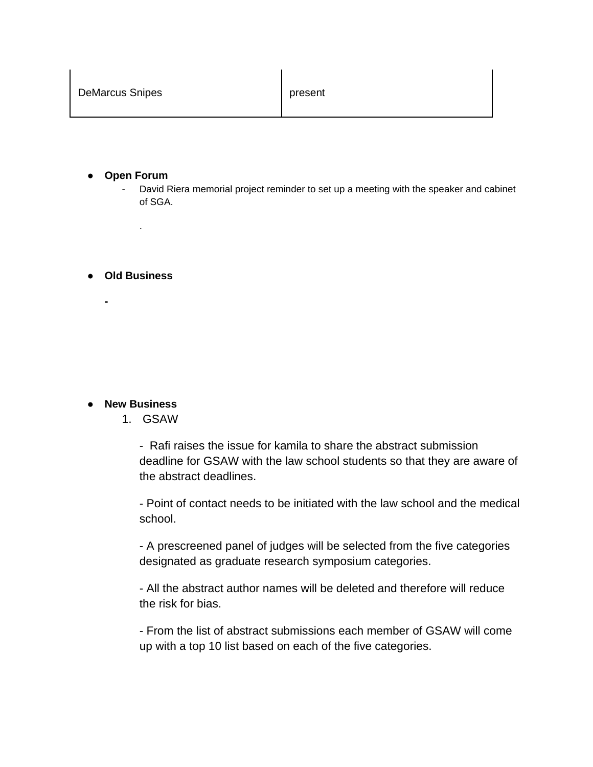- **Open Forum**
	- David Riera memorial project reminder to set up a meeting with the speaker and cabinet of SGA.

● **Old Business** 

**-**

.

## ● **New Business**

1. GSAW

- Rafi raises the issue for kamila to share the abstract submission deadline for GSAW with the law school students so that they are aware of the abstract deadlines.

- Point of contact needs to be initiated with the law school and the medical school.

- A prescreened panel of judges will be selected from the five categories designated as graduate research symposium categories.

- All the abstract author names will be deleted and therefore will reduce the risk for bias.

- From the list of abstract submissions each member of GSAW will come up with a top 10 list based on each of the five categories.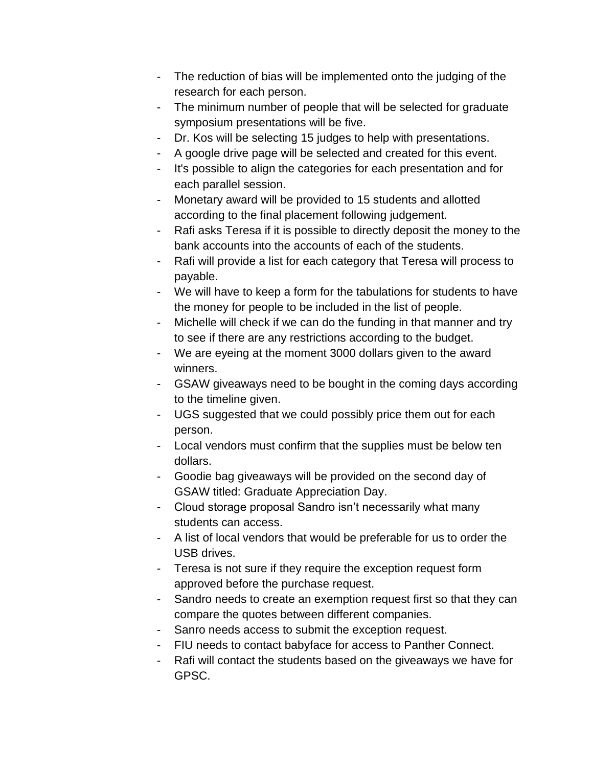- The reduction of bias will be implemented onto the judging of the research for each person.
- The minimum number of people that will be selected for graduate symposium presentations will be five.
- Dr. Kos will be selecting 15 judges to help with presentations.
- A google drive page will be selected and created for this event.
- It's possible to align the categories for each presentation and for each parallel session.
- Monetary award will be provided to 15 students and allotted according to the final placement following judgement.
- Rafi asks Teresa if it is possible to directly deposit the money to the bank accounts into the accounts of each of the students.
- Rafi will provide a list for each category that Teresa will process to payable.
- We will have to keep a form for the tabulations for students to have the money for people to be included in the list of people.
- Michelle will check if we can do the funding in that manner and try to see if there are any restrictions according to the budget.
- We are eyeing at the moment 3000 dollars given to the award winners.
- GSAW giveaways need to be bought in the coming days according to the timeline given.
- UGS suggested that we could possibly price them out for each person.
- Local vendors must confirm that the supplies must be below ten dollars.
- Goodie bag giveaways will be provided on the second day of GSAW titled: Graduate Appreciation Day.
- Cloud storage proposal Sandro isn't necessarily what many students can access.
- A list of local vendors that would be preferable for us to order the USB drives.
- Teresa is not sure if they require the exception request form approved before the purchase request.
- Sandro needs to create an exemption request first so that they can compare the quotes between different companies.
- Sanro needs access to submit the exception request.
- FIU needs to contact babyface for access to Panther Connect.
- Rafi will contact the students based on the giveaways we have for GPSC.